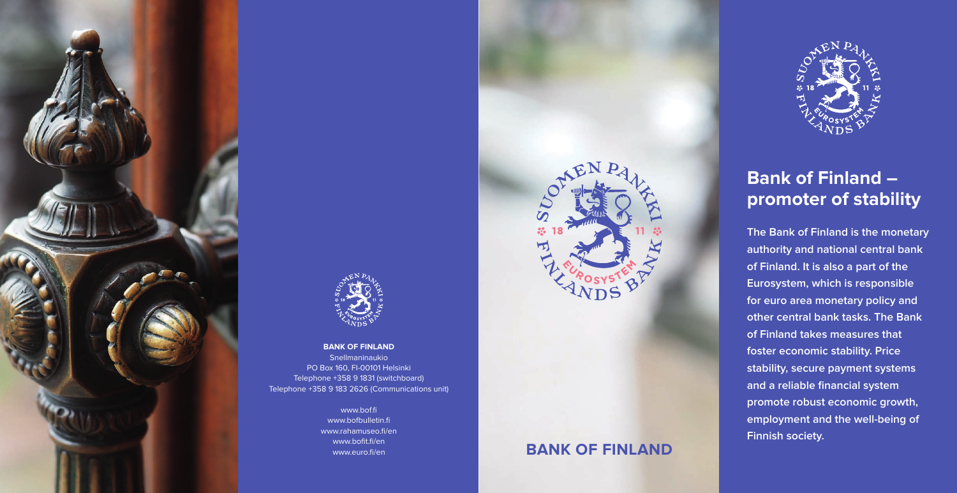## **BANK OF FINLAND**







#### **BANK OF FINLAND**

Snellmaninaukio PO Box 160, FI-00101 Helsinki Telephone +358 9 1831 (switchboard) Telephone +358 9 183 2626 (Communications unit)

> www.bof.fi www.bofbulletin.fi www.rahamuseo.fi/en www.bofit.fi/en www.euro.fi/en



# **Bank of Finland – promoter of stability**

**The Bank of Finland is the monetary authority and national central bank of Finland. It is also a part of the Eurosystem, which is responsible for euro area monetary policy and other central bank tasks. The Bank of Finland takes measures that foster economic stability. Price stability, secure payment systems and a reliable financial system promote robust economic growth, employment and the well-being of Finnish society.**